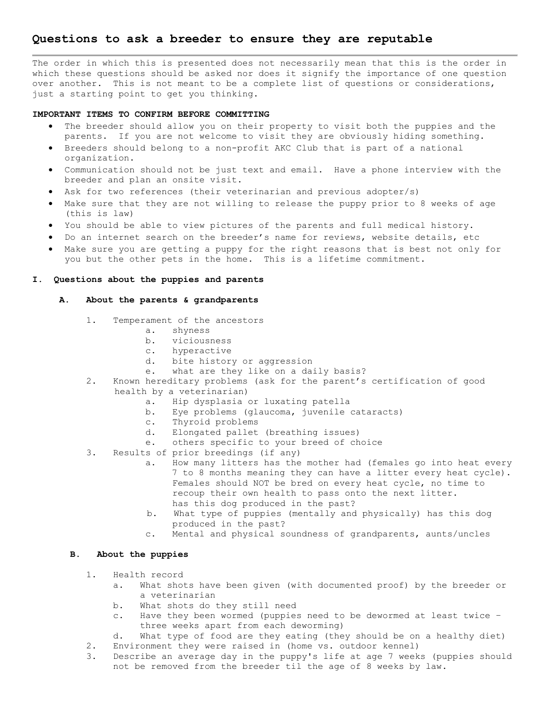# **Questions to ask a breeder to ensure they are reputable**

The order in which this is presented does not necessarily mean that this is the order in which these questions should be asked nor does it signify the importance of one question over another. This is not meant to be a complete list of questions or considerations, just a starting point to get you thinking.

## **IMPORTANT ITEMS TO CONFIRM BEFORE COMMITTING**

- The breeder should allow you on their property to visit both the puppies and the parents. If you are not welcome to visit they are obviously hiding something.
- Breeders should belong to a non-profit AKC Club that is part of a national organization.
- Communication should not be just text and email. Have a phone interview with the breeder and plan an onsite visit.
- Ask for two references (their veterinarian and previous adopter/s)
- Make sure that they are not willing to release the puppy prior to 8 weeks of age (this is law)
- You should be able to view pictures of the parents and full medical history.
- Do an internet search on the breeder's name for reviews, website details, etc
- Make sure you are getting a puppy for the right reasons that is best not only for you but the other pets in the home. This is a lifetime commitment.

#### **I. Questions about the puppies and parents**

## **A. About the parents & grandparents**

- 1. Temperament of the ancestors
	- a. shyness
	- b. viciousness
	- c. hyperactive
	- d. bite history or aggression
	- e. what are they like on a daily basis?
- 2. Known hereditary problems (ask for the parent's certification of good health by a veterinarian)
	- a. Hip dysplasia or luxating patella
	- b. Eye problems (glaucoma, juvenile cataracts)
	- c. Thyroid problems
	- d. Elongated pallet (breathing issues)
	- e. others specific to your breed of choice
- 3. Results of prior breedings (if any)
	- a. How many litters has the mother had (females go into heat every 7 to 8 months meaning they can have a litter every heat cycle). Females should NOT be bred on every heat cycle, no time to recoup their own health to pass onto the next litter. has this dog produced in the past?
	- b. What type of puppies (mentally and physically) has this dog produced in the past?
	- c. Mental and physical soundness of grandparents, aunts/uncles

#### **B. About the puppies**

- 1. Health record
	- a. What shots have been given (with documented proof) by the breeder or a veterinarian
	- b. What shots do they still need
	- c. Have they been wormed (puppies need to be dewormed at least twice three weeks apart from each deworming)
	- d. What type of food are they eating (they should be on a healthy diet)
- 2. Environment they were raised in (home vs. outdoor kennel)
- 3. Describe an average day in the puppy's life at age 7 weeks (puppies should not be removed from the breeder til the age of 8 weeks by law.